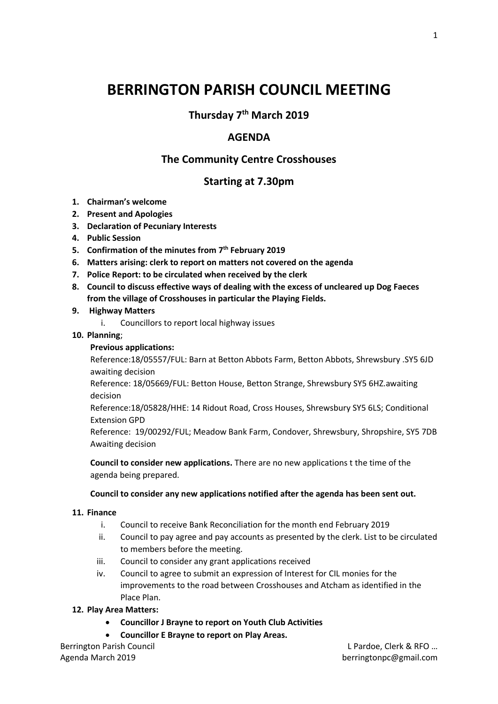# **BERRINGTON PARISH COUNCIL MEETING**

**Thursday 7 th March 2019**

## **AGENDA**

## **The Community Centre Crosshouses**

## **Starting at 7.30pm**

- **1. Chairman's welcome**
- **2. Present and Apologies**
- **3. Declaration of Pecuniary Interests**
- **4. Public Session**
- **5. Confirmation of the minutes from 7 th February 2019**
- **6. Matters arising: clerk to report on matters not covered on the agenda**
- **7. Police Report: to be circulated when received by the clerk**
- **8. Council to discuss effective ways of dealing with the excess of uncleared up Dog Faeces from the village of Crosshouses in particular the Playing Fields.**
- **9. Highway Matters**
	- i. Councillors to report local highway issues
- **10. Planning**;

### **Previous applications:**

Reference:18/05557/FUL: Barn at Betton Abbots Farm, Betton Abbots, Shrewsbury .SY5 6JD awaiting decision

Reference: 18/05669/FUL: Betton House, Betton Strange, Shrewsbury SY5 6HZ.awaiting decision

Reference:18/05828/HHE: 14 Ridout Road, Cross Houses, Shrewsbury SY5 6LS; Conditional Extension GPD

Reference: 19/00292/FUL; Meadow Bank Farm, Condover, Shrewsbury, Shropshire, SY5 7DB Awaiting decision

**Council to consider new applications.** There are no new applications t the time of the agenda being prepared.

#### **Council to consider any new applications notified after the agenda has been sent out.**

#### **11. Finance**

- i. Council to receive Bank Reconciliation for the month end February 2019
- ii. Council to pay agree and pay accounts as presented by the clerk. List to be circulated to members before the meeting.
- iii. Council to consider any grant applications received
- iv. Council to agree to submit an expression of Interest for CIL monies for the improvements to the road between Crosshouses and Atcham as identified in the Place Plan.

#### **12. Play Area Matters:**

- **Councillor J Brayne to report on Youth Club Activities**
- **Councillor E Brayne to report on Play Areas.**

Berrington Parish Council L Pardoe, Clerk & RFO …

Agenda March 2019 **berringtonpc@gmail.com**